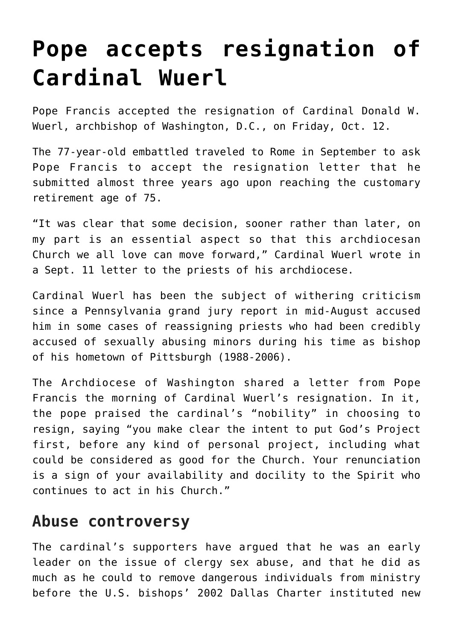## **[Pope accepts resignation of](https://www.osvnews.com/2018/10/17/pope-accepts-resignation-of-cardinal-wuerl/) [Cardinal Wuerl](https://www.osvnews.com/2018/10/17/pope-accepts-resignation-of-cardinal-wuerl/)**

Pope Francis accepted the resignation of Cardinal Donald W. Wuerl, archbishop of Washington, D.C., on Friday, Oct. 12.

The 77-year-old embattled traveled to Rome in September to ask Pope Francis to accept the resignation letter that he submitted almost three years ago upon reaching the customary retirement age of 75.

"It was clear that some decision, sooner rather than later, on my part is an essential aspect so that this archdiocesan Church we all love can move forward," Cardinal Wuerl wrote in a Sept. 11 letter to the priests of his archdiocese.

Cardinal Wuerl has been the subject of withering criticism since a Pennsylvania grand jury report in mid-August accused him in some cases of reassigning priests who had been credibly accused of sexually abusing minors during his time as bishop of his hometown of Pittsburgh (1988-2006).

The Archdiocese of Washington shared a letter from Pope Francis the morning of Cardinal Wuerl's resignation. In it, the pope praised the cardinal's "nobility" in choosing to resign, saying "you make clear the intent to put God's Project first, before any kind of personal project, including what could be considered as good for the Church. Your renunciation is a sign of your availability and docility to the Spirit who continues to act in his Church."

## **Abuse controversy**

The cardinal's supporters have argued that he was an early leader on the issue of clergy sex abuse, and that he did as much as he could to remove dangerous individuals from ministry before the U.S. bishops' 2002 Dallas Charter instituted new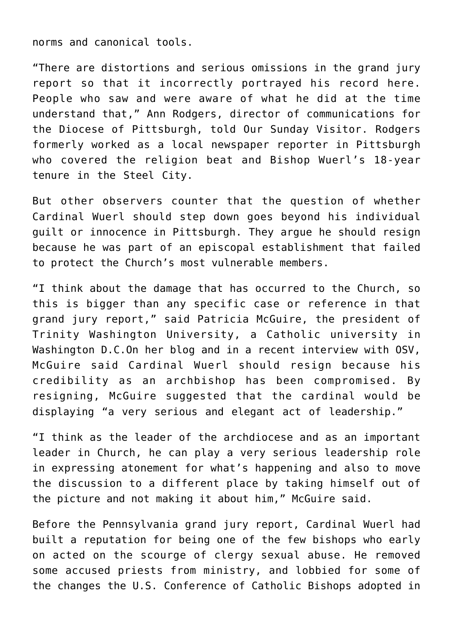norms and canonical tools.

"There are distortions and serious omissions in the grand jury report so that it incorrectly portrayed his record here. People who saw and were aware of what he did at the time understand that," Ann Rodgers, director of communications for the Diocese of Pittsburgh, told Our Sunday Visitor. Rodgers formerly worked as a local newspaper reporter in Pittsburgh who covered the religion beat and Bishop Wuerl's 18-year tenure in the Steel City.

But other observers counter that the question of whether Cardinal Wuerl should step down goes beyond his individual guilt or innocence in Pittsburgh. They argue he should resign because he was part of an episcopal establishment that failed to protect the Church's most vulnerable members.

"I think about the damage that has occurred to the Church, so this is bigger than any specific case or reference in that grand jury report," said Patricia McGuire, the president of Trinity Washington University, a Catholic university in Washington D.C.On her blog and in a recent interview with OSV, McGuire said Cardinal Wuerl should resign because his credibility as an archbishop has been compromised. By resigning, McGuire suggested that the cardinal would be displaying "a very serious and elegant act of leadership."

"I think as the leader of the archdiocese and as an important leader in Church, he can play a very serious leadership role in expressing atonement for what's happening and also to move the discussion to a different place by taking himself out of the picture and not making it about him," McGuire said.

Before the Pennsylvania grand jury report, Cardinal Wuerl had built a reputation for being one of the few bishops who early on acted on the scourge of clergy sexual abuse. He removed some accused priests from ministry, and lobbied for some of the changes the U.S. Conference of Catholic Bishops adopted in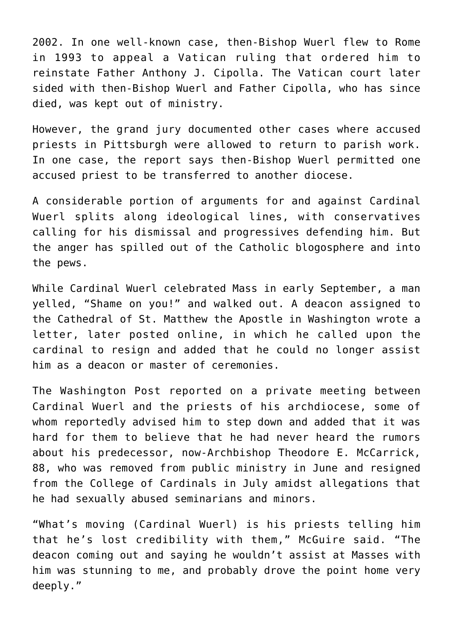2002. In one well-known case, then-Bishop Wuerl flew to Rome in 1993 to appeal a Vatican ruling that ordered him to reinstate Father Anthony J. Cipolla. The Vatican court later sided with then-Bishop Wuerl and Father Cipolla, who has since died, was kept out of ministry.

However, the grand jury documented other cases where accused priests in Pittsburgh were allowed to return to parish work. In one case, the report says then-Bishop Wuerl permitted one accused priest to be transferred to another diocese.

A considerable portion of arguments for and against Cardinal Wuerl splits along ideological lines, with conservatives calling for his dismissal and progressives defending him. But the anger has spilled out of the Catholic blogosphere and into the pews.

While Cardinal Wuerl celebrated Mass in early September, a man yelled, "Shame on you!" and walked out. A deacon assigned to the Cathedral of St. Matthew the Apostle in Washington wrote a letter, later posted online, in which he called upon the cardinal to resign and added that he could no longer assist him as a deacon or master of ceremonies.

The Washington Post reported on a private meeting between Cardinal Wuerl and the priests of his archdiocese, some of whom reportedly advised him to step down and added that it was hard for them to believe that he had never heard the rumors about his predecessor, now-Archbishop Theodore E. McCarrick, 88, who was removed from public ministry in June and resigned from the College of Cardinals in July amidst allegations that he had sexually abused seminarians and minors.

"What's moving (Cardinal Wuerl) is his priests telling him that he's lost credibility with them," McGuire said. "The deacon coming out and saying he wouldn't assist at Masses with him was stunning to me, and probably drove the point home very deeply."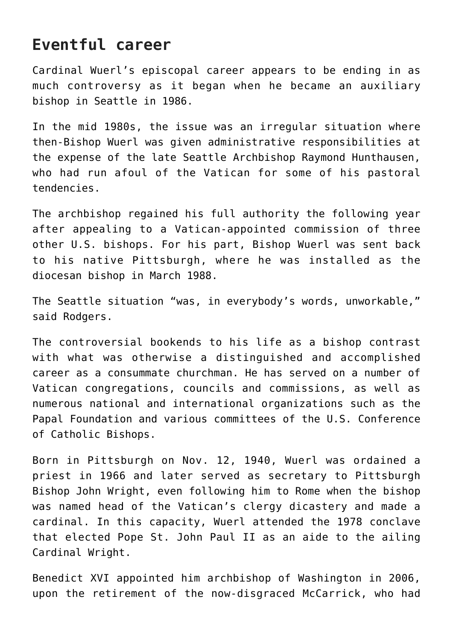## **Eventful career**

Cardinal Wuerl's episcopal career appears to be ending in as much controversy as it began when he became an auxiliary bishop in Seattle in 1986.

In the mid 1980s, the issue was an irregular situation where then-Bishop Wuerl was given administrative responsibilities at the expense of the late Seattle Archbishop Raymond Hunthausen, who had run afoul of the Vatican for some of his pastoral tendencies.

The archbishop regained his full authority the following year after appealing to a Vatican-appointed commission of three other U.S. bishops. For his part, Bishop Wuerl was sent back to his native Pittsburgh, where he was installed as the diocesan bishop in March 1988.

The Seattle situation "was, in everybody's words, unworkable," said Rodgers.

The controversial bookends to his life as a bishop contrast with what was otherwise a distinguished and accomplished career as a consummate churchman. He has served on a number of Vatican congregations, councils and commissions, as well as numerous national and international organizations such as the Papal Foundation and various committees of the U.S. Conference of Catholic Bishops.

Born in Pittsburgh on Nov. 12, 1940, Wuerl was ordained a priest in 1966 and later served as secretary to Pittsburgh Bishop John Wright, even following him to Rome when the bishop was named head of the Vatican's clergy dicastery and made a cardinal. In this capacity, Wuerl attended the 1978 conclave that elected Pope St. John Paul II as an aide to the ailing Cardinal Wright.

Benedict XVI appointed him archbishop of Washington in 2006, upon the retirement of the now-disgraced McCarrick, who had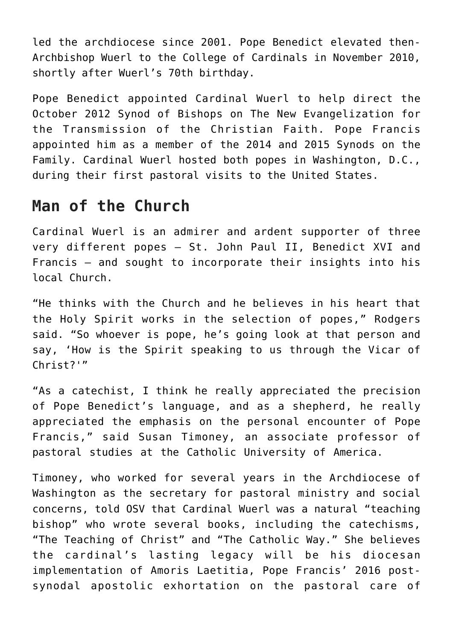led the archdiocese since 2001. Pope Benedict elevated then-Archbishop Wuerl to the College of Cardinals in November 2010, shortly after Wuerl's 70th birthday.

Pope Benedict appointed Cardinal Wuerl to help direct the October 2012 Synod of Bishops on The New Evangelization for the Transmission of the Christian Faith. Pope Francis appointed him as a member of the 2014 and 2015 Synods on the Family. Cardinal Wuerl hosted both popes in Washington, D.C., during their first pastoral visits to the United States.

## **Man of the Church**

Cardinal Wuerl is an admirer and ardent supporter of three very different popes — St. John Paul II, Benedict XVI and Francis — and sought to incorporate their insights into his local Church.

"He thinks with the Church and he believes in his heart that the Holy Spirit works in the selection of popes," Rodgers said. "So whoever is pope, he's going look at that person and say, 'How is the Spirit speaking to us through the Vicar of Christ?'"

"As a catechist, I think he really appreciated the precision of Pope Benedict's language, and as a shepherd, he really appreciated the emphasis on the personal encounter of Pope Francis," said Susan Timoney, an associate professor of pastoral studies at the Catholic University of America.

Timoney, who worked for several years in the Archdiocese of Washington as the secretary for pastoral ministry and social concerns, told OSV that Cardinal Wuerl was a natural "teaching bishop" who wrote several books, including the catechisms, "The Teaching of Christ" and "The Catholic Way." She believes the cardinal's lasting legacy will be his diocesan implementation of Amoris Laetitia, Pope Francis' 2016 postsynodal apostolic exhortation on the pastoral care of